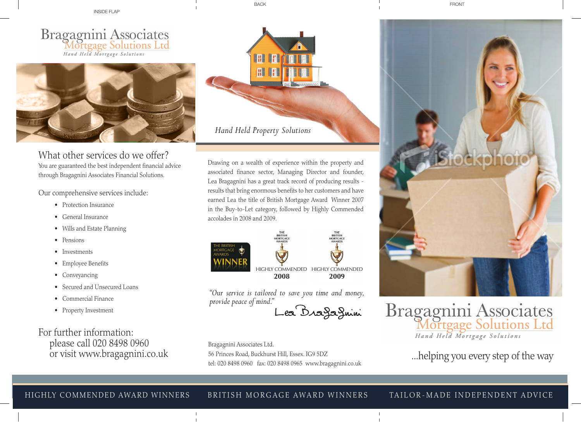inside flap

BACK FRONT CONTROL CONTROL CONTROL CONTROL CONTROL CONTROL CONTROL CONTROL CONTROL CONTROL CONTROL CONTROL CONTROL CONTROL CONTROL CONTROL CONTROL CONTROL CONTROL CONTROL CONTROL CONTROL CONTROL CONTROL CONTROL CONTROL CON





What other services do we offer? You are guaranteed the best independent financial advice through Bragagnini Associates Financial Solutions.

Our comprehensive services include:

- Protection Insurance
- • General Insurance
- • Wills and Estate Planning
- Pensions
- Investments
- • Employee Benefits
- Conveyancing
- Secured and Unsecured Loans
- • Commercial Finance
- • Property Investment

For further information: please call 020 8498 0960 or visit www.bragagnini.co.uk



Drawing on a wealth of experience within the property and associated finance sector, Managing Director and founder, Lea Bragagnini has a great track record of producing results results that bring enormous benefits to her customers and have earned Lea the title of British Mortgage Award Winner 2007 in the Buy-to-Let category, followed by Highly Commended accolades in 2008 and 2009.





Lea Bragagnini

Bragagnini Associates Ltd. 56 Princes Road, Buckhurst Hill, Essex. IG9 5DZ tel: 020 8498 0960 fax: 020 8498 0965 www.bragagnini.co.uk



Bragagnini Associates<br>Mortgage Solutions Ltd Hand Held Mortgage Solutions

...helping you every step of the way